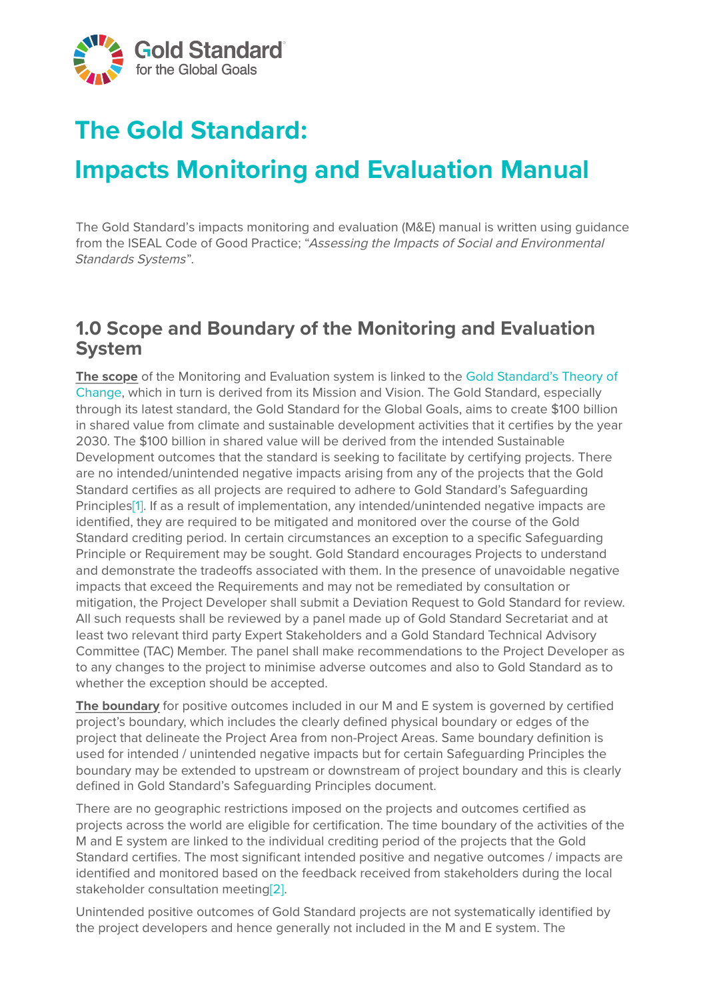

# **The Gold Standard:**

# **Impacts Monitoring and Evaluation Manual**

The Gold Standard's impacts monitoring and evaluation (M&E) manual is written using guidance from the ISEAL Code of Good Practice; "Assessing the Impacts of Social and Environmental Standards Systems".

### **1.0 Scope and Boundary of the Monitoring and Evaluation System**

**The scope** of the Monitoring and Evaluation system is linked to the Gold Standard's Theory of [Change, which in turn is derived from its Mission and Vision. The Gold Standard, especially](https://www.goldstandard.org/articles/our-theory-change) through its latest standard, the Gold Standard for the Global Goals, aims to create \$100 billion in shared value from climate and sustainable development activities that it certifies by the year 2030. The \$100 billion in shared value will be derived from the intended Sustainable Development outcomes that the standard is seeking to facilitate by certifying projects. There are no intended/unintended negative impacts arising from any of the projects that the Gold Standard certifies as all projects are required to adhere to Gold Standard's Safeguarding Principl[es\[1\].](https://globalgoals.goldstandard.org/2496/#_ftn1) If as a result of implementation, any intended/unintended negative impacts are identified, they are required to be mitigated and monitored over the course of the Gold Standard crediting period. In certain circumstances an exception to a specific Safeguarding Principle or Requirement may be sought. Gold Standard encourages Projects to understand and demonstrate the tradeoffs associated with them. In the presence of unavoidable negative impacts that exceed the Requirements and may not be remediated by consultation or mitigation, the Project Developer shall submit a Deviation Request to Gold Standard for review. All such requests shall be reviewed by a panel made up of Gold Standard Secretariat and at least two relevant third party Expert Stakeholders and a Gold Standard Technical Advisory Committee (TAC) Member. The panel shall make recommendations to the Project Developer as to any changes to the project to minimise adverse outcomes and also to Gold Standard as to whether the exception should be accepted.

**The boundary** for positive outcomes included in our M and E system is governed by certified project's boundary, which includes the clearly defined physical boundary or edges of the project that delineate the Project Area from non-Project Areas. Same boundary definition is used for intended / unintended negative impacts but for certain Safeguarding Principles the boundary may be extended to upstream or downstream of project boundary and this is clearly defined in Gold Standard's Safeguarding Principles document.

There are no geographic restrictions imposed on the projects and outcomes certified as projects across the world are eligible for certification. The time boundary of the activities of the M and E system are linked to the individual crediting period of the projects that the Gold Standard certifies. The most significant intended positive and negative outcomes / impacts are identified and monitored based on the feedback received from stakeholders during the local stakeholder consultation meetin[g\[2\]](https://globalgoals.goldstandard.org/2496/#_ftn2).

Unintended positive outcomes of Gold Standard projects are not systematically identified by the project developers and hence generally not included in the M and E system. The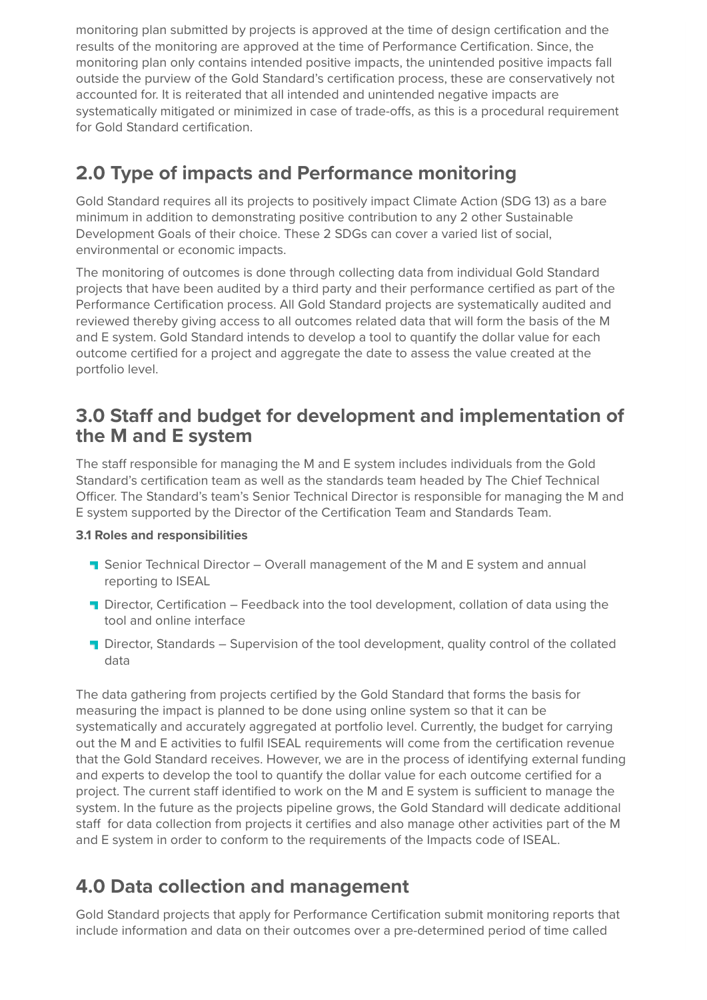monitoring plan submitted by projects is approved at the time of design certification and the results of the monitoring are approved at the time of Performance Certification. Since, the monitoring plan only contains intended positive impacts, the unintended positive impacts fall outside the purview of the Gold Standard's certification process, these are conservatively not accounted for. It is reiterated that all intended and unintended negative impacts are systematically mitigated or minimized in case of trade-offs, as this is a procedural requirement for Gold Standard certification.

# **2.0 Type of impacts and Performance monitoring**

Gold Standard requires all its projects to positively impact Climate Action (SDG 13) as a bare minimum in addition to demonstrating positive contribution to any 2 other Sustainable Development Goals of their choice. These 2 SDGs can cover a varied list of social, environmental or economic impacts.

The monitoring of outcomes is done through collecting data from individual Gold Standard projects that have been audited by a third party and their performance certified as part of the Performance Certification process. All Gold Standard projects are systematically audited and reviewed thereby giving access to all outcomes related data that will form the basis of the M and E system. Gold Standard intends to develop a tool to quantify the dollar value for each outcome certified for a project and aggregate the date to assess the value created at the portfolio level.

### **3.0 Staff and budget for development and implementation of the M and E system**

The staff responsible for managing the M and E system includes individuals from the Gold Standard's certification team as well as the standards team headed by The Chief Technical Officer. The Standard's team's Senior Technical Director is responsible for managing the M and E system supported by the Director of the Certification Team and Standards Team.

#### **3.1 Roles and responsibilities**

- **T** Senior Technical Director Overall management of the M and E system and annual reporting to ISEAL
- **T** Director, Certification Feedback into the tool development, collation of data using the tool and online interface
- **T** Director, Standards Supervision of the tool development, quality control of the collated data

The data gathering from projects certified by the Gold Standard that forms the basis for measuring the impact is planned to be done using online system so that it can be systematically and accurately aggregated at portfolio level. Currently, the budget for carrying out the M and E activities to fulfil ISEAL requirements will come from the certification revenue that the Gold Standard receives. However, we are in the process of identifying external funding and experts to develop the tool to quantify the dollar value for each outcome certified for a project. The current staff identified to work on the M and E system is sufficient to manage the system. In the future as the projects pipeline grows, the Gold Standard will dedicate additional staff for data collection from projects it certifies and also manage other activities part of the M and E system in order to conform to the requirements of the Impacts code of ISEAL.

# **4.0 Data collection and management**

Gold Standard projects that apply for Performance Certification submit monitoring reports that include information and data on their outcomes over a pre-determined period of time called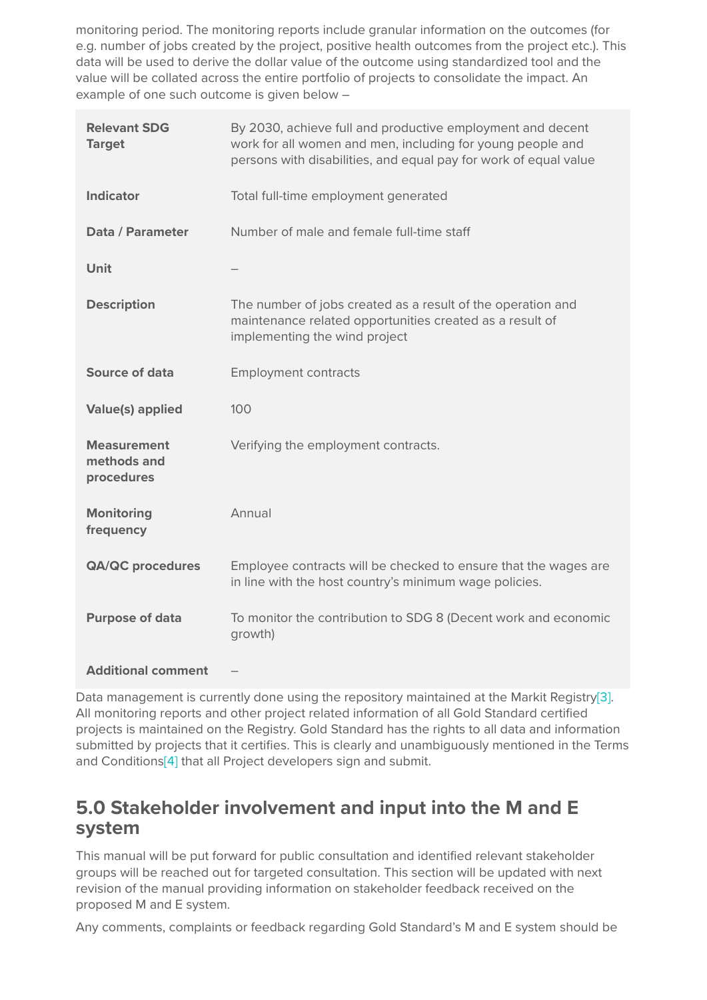monitoring period. The monitoring reports include granular information on the outcomes (for e.g. number of jobs created by the project, positive health outcomes from the project etc.). This data will be used to derive the dollar value of the outcome using standardized tool and the value will be collated across the entire portfolio of projects to consolidate the impact. An example of one such outcome is given below –

| <b>Relevant SDG</b><br><b>Target</b>            | By 2030, achieve full and productive employment and decent<br>work for all women and men, including for young people and<br>persons with disabilities, and equal pay for work of equal value |
|-------------------------------------------------|----------------------------------------------------------------------------------------------------------------------------------------------------------------------------------------------|
| <b>Indicator</b>                                | Total full-time employment generated                                                                                                                                                         |
| Data / Parameter                                | Number of male and female full-time staff                                                                                                                                                    |
| Unit                                            |                                                                                                                                                                                              |
| <b>Description</b>                              | The number of jobs created as a result of the operation and<br>maintenance related opportunities created as a result of<br>implementing the wind project                                     |
| Source of data                                  | <b>Employment contracts</b>                                                                                                                                                                  |
| <b>Value(s) applied</b>                         | 100                                                                                                                                                                                          |
| <b>Measurement</b><br>methods and<br>procedures | Verifying the employment contracts.                                                                                                                                                          |
| <b>Monitoring</b><br>frequency                  | Annual                                                                                                                                                                                       |
| <b>QA/QC procedures</b>                         | Employee contracts will be checked to ensure that the wages are<br>in line with the host country's minimum wage policies.                                                                    |
| <b>Purpose of data</b>                          | To monitor the contribution to SDG 8 (Decent work and economic<br>growth)                                                                                                                    |
| <b>Additional comment</b>                       |                                                                                                                                                                                              |

Data management is currently done using the repository maintained at the Markit Registry<sup>[3]</sup>. All monitoring reports and other project related information of all Gold Standard certified projects is maintained on the Registry. Gold Standard has the rights to all data and information submitted by projects that it certifies. This is clearly and unambiguously mentioned in the Terms and Conditions<sup>[4]</sup> that all Project developers sign and submit.

## **5.0 Stakeholder involvement and input into the M and E system**

This manual will be put forward for public consultation and identified relevant stakeholder groups will be reached out for targeted consultation. This section will be updated with next revision of the manual providing information on stakeholder feedback received on the proposed M and E system.

Any comments, complaints or feedback regarding Gold Standard's M and E system should be